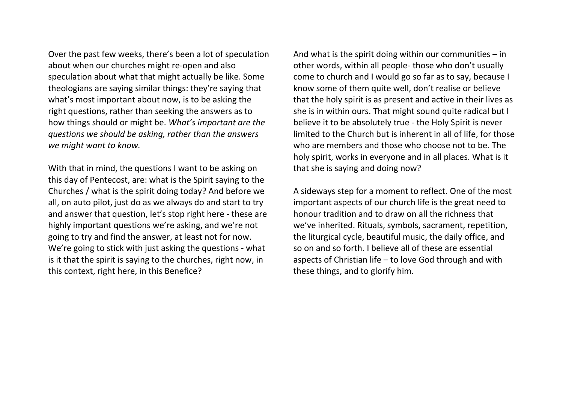Over the past few weeks, there's been a lot of speculation about when our churches might re-open and also speculation about what that might actually be like. Some theologians are saying similar things: they're saying that what's most important about now, is to be asking the right questions, rather than seeking the answers as to how things should or might be. *What's important are the questions we should be asking, rather than the answers we might want to know.* 

With that in mind, the questions I want to be asking on this day of Pentecost, are: what is the Spirit saying to the Churches / what is the spirit doing today? And before we all, on auto pilot, just do as we always do and start to try and answer that question, let's stop right here - these are highly important questions we're asking, and we're not going to try and find the answer, at least not for now. We're going to stick with just asking the questions - what is it that the spirit is saying to the churches, right now, in this context, right here, in this Benefice?

And what is the spirit doing within our communities  $-$  in other words, within all people- those who don't usually come to church and I would go so far as to say, because I know some of them quite well, don't realise or believe that the holy spirit is as present and active in their lives as she is in within ours. That might sound quite radical but I believe it to be absolutely true - the Holy Spirit is never limited to the Church but is inherent in all of life, for those who are members and those who choose not to be. The holy spirit, works in everyone and in all places. What is it that she is saying and doing now?

A sideways step for a moment to reflect. One of the most important aspects of our church life is the great need to honour tradition and to draw on all the richness that we've inherited. Rituals, symbols, sacrament, repetition, the liturgical cycle, beautiful music, the daily office, and so on and so forth. I believe all of these are essential aspects of Christian life – to love God through and with these things, and to glorify him.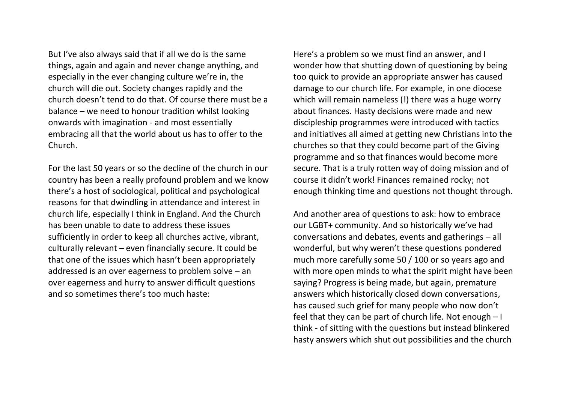But I've also always said that if all we do is the same things, again and again and never change anything, and especially in the ever changing culture we're in, the church will die out. Society changes rapidly and the church doesn't tend to do that. Of course there must be a balance – we need to honour tradition whilst looking onwards with imagination - and most essentially embracing all that the world about us has to offer to the Church.

For the last 50 years or so the decline of the church in our country has been a really profound problem and we know there's a host of sociological, political and psychological reasons for that dwindling in attendance and interest in church life, especially I think in England. And the Church has been unable to date to address these issues sufficiently in order to keep all churches active, vibrant, culturally relevant – even financially secure. It could be that one of the issues which hasn't been appropriately addressed is an over eagerness to problem solve – an over eagerness and hurry to answer difficult questions and so sometimes there's too much haste:

Here's a problem so we must find an answer, and I wonder how that shutting down of questioning by being too quick to provide an appropriate answer has caused damage to our church life. For example, in one diocese which will remain nameless (!) there was a huge worry about finances. Hasty decisions were made and new discipleship programmes were introduced with tactics and initiatives all aimed at getting new Christians into the churches so that they could become part of the Giving programme and so that finances would become more secure. That is a truly rotten way of doing mission and of course it didn't work! Finances remained rocky; not enough thinking time and questions not thought through.

And another area of questions to ask: how to embrace our LGBT+ community. And so historically we've had conversations and debates, events and gatherings – all wonderful, but why weren't these questions pondered much more carefully some 50 / 100 or so years ago and with more open minds to what the spirit might have been saying? Progress is being made, but again, premature answers which historically closed down conversations, has caused such grief for many people who now don't feel that they can be part of church life. Not enough – I think - of sitting with the questions but instead blinkered hasty answers which shut out possibilities and the church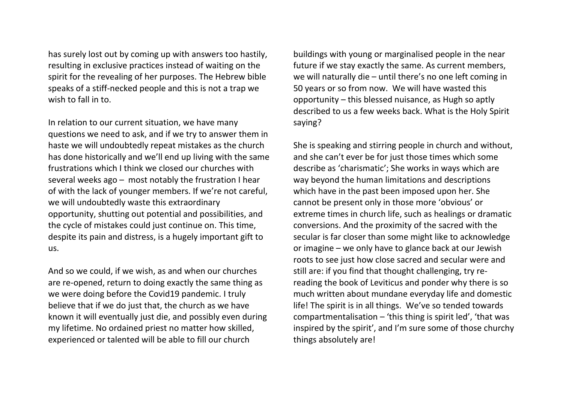has surely lost out by coming up with answers too hastily, resulting in exclusive practices instead of waiting on the spirit for the revealing of her purposes. The Hebrew bible speaks of a stiff-necked people and this is not a trap we wish to fall in to.

In relation to our current situation, we have many questions we need to ask, and if we try to answer them in haste we will undoubtedly repeat mistakes as the church has done historically and we'll end up living with the same frustrations which I think we closed our churches with several weeks ago – most notably the frustration I hear of with the lack of younger members. If we're not careful, we will undoubtedly waste this extraordinary opportunity, shutting out potential and possibilities, and the cycle of mistakes could just continue on. This time, despite its pain and distress, is a hugely important gift to us.

And so we could, if we wish, as and when our churches are re-opened, return to doing exactly the same thing as we were doing before the Covid19 pandemic. I truly believe that if we do just that, the church as we have known it will eventually just die, and possibly even during my lifetime. No ordained priest no matter how skilled, experienced or talented will be able to fill our church

buildings with young or marginalised people in the near future if we stay exactly the same. As current members, we will naturally die – until there's no one left coming in 50 years or so from now. We will have wasted this opportunity – this blessed nuisance, as Hugh so aptly described to us a few weeks back. What is the Holy Spirit saying?

She is speaking and stirring people in church and without, and she can't ever be for just those times which some describe as 'charismatic'; She works in ways which are way beyond the human limitations and descriptions which have in the past been imposed upon her. She cannot be present only in those more 'obvious' or extreme times in church life, such as healings or dramatic conversions. And the proximity of the sacred with the secular is far closer than some might like to acknowledge or imagine – we only have to glance back at our Jewish roots to see just how close sacred and secular were and still are: if you find that thought challenging, try rereading the book of Leviticus and ponder why there is so much written about mundane everyday life and domestic life! The spirit is in all things. We've so tended towards compartmentalisation – 'this thing is spirit led', 'that was inspired by the spirit', and I'm sure some of those churchy things absolutely are!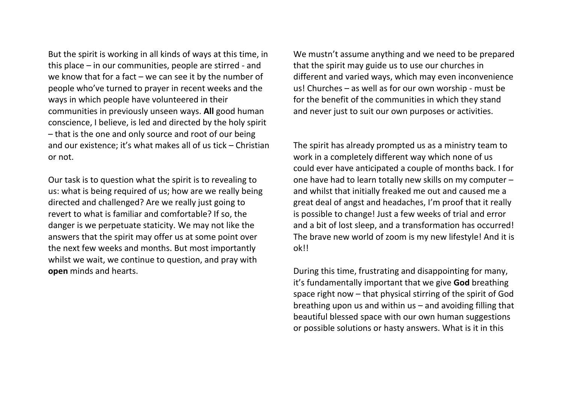But the spirit is working in all kinds of ways at this time, in this place – in our communities, people are stirred - and we know that for a fact – we can see it by the number of people who've turned to prayer in recent weeks and the ways in which people have volunteered in their communities in previously unseen ways. **All** good human conscience, I believe, is led and directed by the holy spirit – that is the one and only source and root of our being and our existence; it's what makes all of us tick – Christian or not.

Our task is to question what the spirit is to revealing to us: what is being required of us; how are we really being directed and challenged? Are we really just going to revert to what is familiar and comfortable? If so, the danger is we perpetuate staticity. We may not like the answers that the spirit may offer us at some point over the next few weeks and months. But most importantly whilst we wait, we continue to question, and pray with **open** minds and hearts.

We mustn't assume anything and we need to be prepared that the spirit may guide us to use our churches in different and varied ways, which may even inconvenience us! Churches – as well as for our own worship - must be for the benefit of the communities in which they stand and never just to suit our own purposes or activities.

The spirit has already prompted us as a ministry team to work in a completely different way which none of us could ever have anticipated a couple of months back. I for one have had to learn totally new skills on my computer – and whilst that initially freaked me out and caused me a great deal of angst and headaches, I'm proof that it really is possible to change! Just a few weeks of trial and error and a bit of lost sleep, and a transformation has occurred! The brave new world of zoom is my new lifestyle! And it is ok!!

During this time, frustrating and disappointing for many, it's fundamentally important that we give **God** breathing space right now – that physical stirring of the spirit of God breathing upon us and within us – and avoiding filling that beautiful blessed space with our own human suggestions or possible solutions or hasty answers. What is it in this